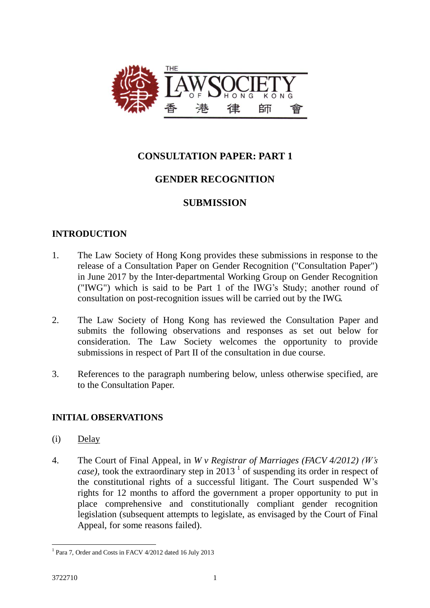

# **CONSULTATION PAPER: PART 1**

# **GENDER RECOGNITION**

# **SUBMISSION**

## **INTRODUCTION**

- 1. The Law Society of Hong Kong provides these submissions in response to the release of a Consultation Paper on Gender Recognition ("Consultation Paper") in June 2017 by the Inter-departmental Working Group on Gender Recognition ("IWG") which is said to be Part 1 of the IWG's Study; another round of consultation on post-recognition issues will be carried out by the IWG.
- 2. The Law Society of Hong Kong has reviewed the Consultation Paper and submits the following observations and responses as set out below for consideration. The Law Society welcomes the opportunity to provide submissions in respect of Part II of the consultation in due course.
- 3. References to the paragraph numbering below, unless otherwise specified, are to the Consultation Paper.

#### **INITIAL OBSERVATIONS**

- (i) Delay
- 4. The Court of Final Appeal, in *W v Registrar of Marriages (FACV 4/2012) (W's case*), took the extraordinary step in  $2013<sup>1</sup>$  of suspending its order in respect of the constitutional rights of a successful litigant. The Court suspended W's rights for 12 months to afford the government a proper opportunity to put in place comprehensive and constitutionally compliant gender recognition legislation (subsequent attempts to legislate, as envisaged by the Court of Final Appeal, for some reasons failed).

 1 Para 7, Order and Costs in FACV 4/2012 dated 16 July 2013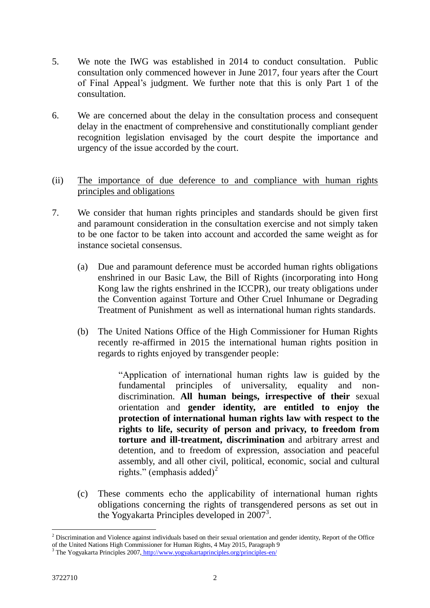- 5. We note the IWG was established in 2014 to conduct consultation. Public consultation only commenced however in June 2017, four years after the Court of Final Appeal's judgment. We further note that this is only Part 1 of the consultation.
- 6. We are concerned about the delay in the consultation process and consequent delay in the enactment of comprehensive and constitutionally compliant gender recognition legislation envisaged by the court despite the importance and urgency of the issue accorded by the court.

#### (ii) The importance of due deference to and compliance with human rights principles and obligations

- 7. We consider that human rights principles and standards should be given first and paramount consideration in the consultation exercise and not simply taken to be one factor to be taken into account and accorded the same weight as for instance societal consensus.
	- (a) Due and paramount deference must be accorded human rights obligations enshrined in our Basic Law, the Bill of Rights (incorporating into Hong Kong law the rights enshrined in the ICCPR), our treaty obligations under the Convention against Torture and Other Cruel Inhumane or Degrading Treatment of Punishment as well as international human rights standards.
	- (b) The United Nations Office of the High Commissioner for Human Rights recently re-affirmed in 2015 the international human rights position in regards to rights enjoyed by transgender people:

"Application of international human rights law is guided by the fundamental principles of universality, equality and nondiscrimination. **All human beings, irrespective of their** sexual orientation and **gender identity, are entitled to enjoy the protection of international human rights law with respect to the rights to life, security of person and privacy, to freedom from torture and ill-treatment, discrimination** and arbitrary arrest and detention, and to freedom of expression, association and peaceful assembly, and all other civil, political, economic, social and cultural rights." (emphasis added)<sup>2</sup>

(c) These comments echo the applicability of international human rights obligations concerning the rights of transgendered persons as set out in the Yogyakarta Principles developed in  $2007<sup>3</sup>$ .

-

 $2$  Discrimination and Violence against individuals based on their sexual orientation and gender identity, Report of the Office of the United Nations High Commissioner for Human Rights, 4 May 2015, Paragraph 9

<sup>&</sup>lt;sup>3</sup> The Yogyakarta Principles 2007, <http://www.yogyakartaprinciples.org/principles-en/>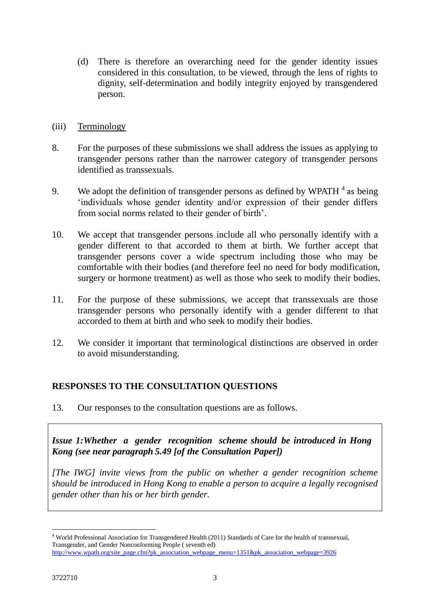- (d) There is therefore an overarching need for the gender identity issues considered in this consultation, to be viewed, through the lens of rights to dignity, self-determination and bodily integrity enjoyed by transgendered person.
- (iii) Terminology
- 8. For the purposes of these submissions we shall address the issues as applying to transgender persons rather than the narrower category of transgender persons identified as transsexuals.
- 9. We adopt the definition of transgender persons as defined by WPATH  $<sup>4</sup>$  as being</sup> 'individuals whose gender identity and/or expression of their gender differs from social norms related to their gender of birth'.
- 10. We accept that transgender persons include all who personally identify with a gender different to that accorded to them at birth. We further accept that transgender persons cover a wide spectrum including those who may be comfortable with their bodies (and therefore feel no need for body modification, surgery or hormone treatment) as well as those who seek to modify their bodies.
- 11. For the purpose of these submissions, we accept that transsexuals are those transgender persons who personally identify with a gender different to that accorded to them at birth and who seek to modify their bodies.
- 12. We consider it important that terminological distinctions are observed in order to avoid misunderstanding.

## **RESPONSES TO THE CONSULTATION QUESTIONS**

13. Our responses to the consultation questions are as follows.

*Issue 1:Whether a gender recognition scheme should be introduced in Hong Kong (see near paragraph 5.49 [of the Consultation Paper])*

*[The IWG] invite views from the public on whether a gender recognition scheme should be introduced in Hong Kong to enable a person to acquire a legally recognised gender other than his or her birth gender.*

-

 $4$  World Professional Association for Transgendered Health (2011) Standards of Care for the health of transsexual, Transgender, and Gender Nonconforming People ( seventh ed) [http://www.wpath.org/site\\_page.cfm?pk\\_association\\_webpage\\_menu=1351&pk\\_association\\_webpage=3926](http://www.wpath.org/site_page.cfm?pk_association_webpage_menu=1351&pk_association_webpage=3926)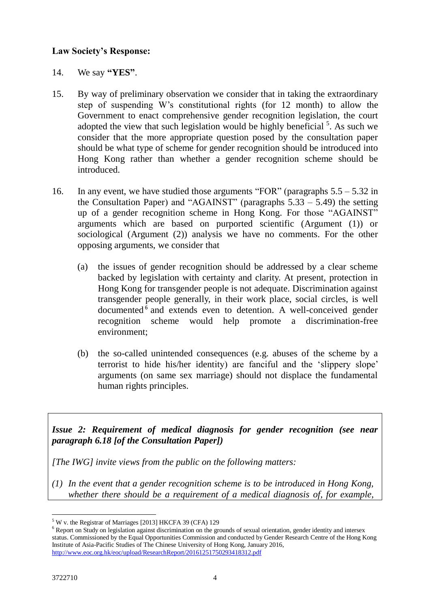#### 14. We say **"YES"**.

- 15. By way of preliminary observation we consider that in taking the extraordinary step of suspending W's constitutional rights (for 12 month) to allow the Government to enact comprehensive gender recognition legislation, the court adopted the view that such legislation would be highly beneficial  $5$ . As such we consider that the more appropriate question posed by the consultation paper should be what type of scheme for gender recognition should be introduced into Hong Kong rather than whether a gender recognition scheme should be introduced.
- 16. In any event, we have studied those arguments "FOR" (paragraphs 5.5 5.32 in the Consultation Paper) and "AGAINST" (paragraphs  $5.33 - 5.49$ ) the setting up of a gender recognition scheme in Hong Kong. For those "AGAINST" arguments which are based on purported scientific (Argument (1)) or sociological (Argument (2)) analysis we have no comments. For the other opposing arguments, we consider that
	- (a) the issues of gender recognition should be addressed by a clear scheme backed by legislation with certainty and clarity. At present, protection in Hong Kong for transgender people is not adequate. Discrimination against transgender people generally, in their work place, social circles, is well documented<sup>6</sup> and extends even to detention. A well-conceived gender recognition scheme would help promote a discrimination-free environment;
	- (b) the so-called unintended consequences (e.g. abuses of the scheme by a terrorist to hide his/her identity) are fanciful and the 'slippery slope' arguments (on same sex marriage) should not displace the fundamental human rights principles.

*Issue 2: Requirement of medical diagnosis for gender recognition (see near paragraph 6.18 [of the Consultation Paper])*

*[The IWG] invite views from the public on the following matters:*

*(1) In the event that a gender recognition scheme is to be introduced in Hong Kong, whether there should be a requirement of a medical diagnosis of, for example,*

<sup>&</sup>lt;u>.</u>  $5$  W v. the Registrar of Marriages [2013] HKCFA 39 (CFA) 129

<sup>&</sup>lt;sup>6</sup> Report on Study on legislation against discrimination on the grounds of sexual orientation, gender identity and intersex status. Commissioned by the Equal Opportunities Commission and conducted by Gender Research Centre of the Hong Kong Institute of Asia-Pacific Studies of The Chinese University of Hong Kong, January 2016, <http://www.eoc.org.hk/eoc/upload/ResearchReport/20161251750293418312.pdf>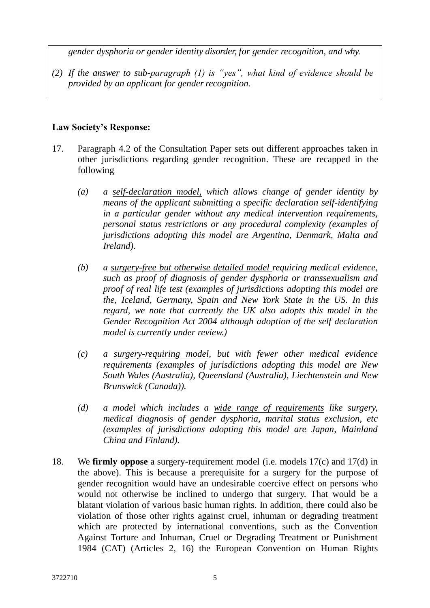*gender dysphoria or gender identity disorder, for gender recognition, and why.*

*(2) If the answer to sub-paragraph (1) is "yes", what kind of evidence should be provided by an applicant for gender recognition.*

## **Law Society's Response:**

- 17. Paragraph 4.2 of the Consultation Paper sets out different approaches taken in other jurisdictions regarding gender recognition. These are recapped in the following
	- *(a) a self-declaration model, which allows change of gender identity by means of the applicant submitting a specific declaration self-identifying in a particular gender without any medical intervention requirements, personal status restrictions or any procedural complexity (examples of jurisdictions adopting this model are Argentina, Denmark, Malta and Ireland).*
	- *(b) a surgery-free but otherwise detailed model requiring medical evidence, such as proof of diagnosis of gender dysphoria or transsexualism and proof of real life test (examples of jurisdictions adopting this model are the, Iceland, Germany, Spain and New York State in the US. In this regard, we note that currently the UK also adopts this model in the Gender Recognition Act 2004 although adoption of the self declaration model is currently under review.)*
	- *(c) a surgery-requiring model, but with fewer other medical evidence requirements (examples of jurisdictions adopting this model are New South Wales (Australia), Queensland (Australia), Liechtenstein and New Brunswick (Canada)).*
	- *(d) a model which includes a wide range of requirements like surgery, medical diagnosis of gender dysphoria, marital status exclusion, etc (examples of jurisdictions adopting this model are Japan, Mainland China and Finland).*
- 18. We **firmly oppose** a surgery-requirement model (i.e. models 17(c) and 17(d) in the above). This is because a prerequisite for a surgery for the purpose of gender recognition would have an undesirable coercive effect on persons who would not otherwise be inclined to undergo that surgery. That would be a blatant violation of various basic human rights. In addition, there could also be violation of those other rights against cruel, inhuman or degrading treatment which are protected by international conventions, such as the Convention Against Torture and Inhuman, Cruel or Degrading Treatment or Punishment 1984 (CAT) (Articles 2, 16) the European Convention on Human Rights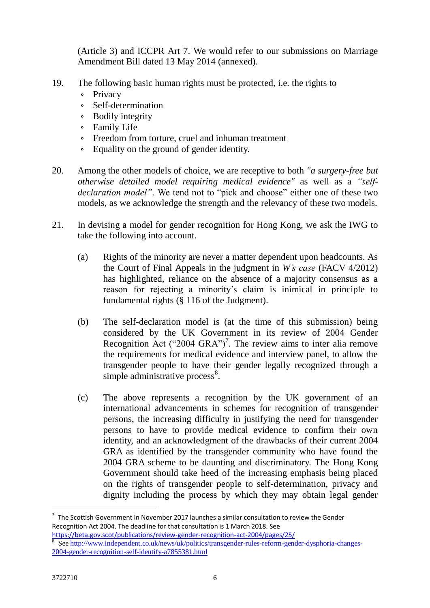(Article 3) and ICCPR Art 7. We would refer to our submissions on Marriage Amendment Bill dated 13 May 2014 (annexed).

- 19. The following basic human rights must be protected, i.e. the rights to
	- 。 Privacy
	- 。 Self-determination
	- 。 Bodily integrity
	- 。 Family Life
	- 。 Freedom from torture, cruel and inhuman treatment
	- 。 Equality on the ground of gender identity.
- 20. Among the other models of choice, we are receptive to both *"a surgery-free but otherwise detailed model requiring medical evidence"* as well as a *"selfdeclaration model"*. We tend not to "pick and choose" either one of these two models, as we acknowledge the strength and the relevancy of these two models.
- 21. In devising a model for gender recognition for Hong Kong, we ask the IWG to take the following into account.
	- (a) Rights of the minority are never a matter dependent upon headcounts. As the Court of Final Appeals in the judgment in *W's case* (FACV 4/2012) has highlighted, reliance on the absence of a majority consensus as a reason for rejecting a minority's claim is inimical in principle to fundamental rights (§ 116 of the Judgment).
	- (b) The self-declaration model is (at the time of this submission) being considered by the UK Government in its review of 2004 Gender Recognition Act  $("2004 \text{ GRA}")^7$ . The review aims to inter alia remove the requirements for medical evidence and interview panel, to allow the transgender people to have their gender legally recognized through a simple administrative process<sup>8</sup>.
	- (c) The above represents a recognition by the UK government of an international advancements in schemes for recognition of transgender persons, the increasing difficulty in justifying the need for transgender persons to have to provide medical evidence to confirm their own identity, and an acknowledgment of the drawbacks of their current 2004 GRA as identified by the transgender community who have found the 2004 GRA scheme to be daunting and discriminatory. The Hong Kong Government should take heed of the increasing emphasis being placed on the rights of transgender people to self-determination, privacy and dignity including the process by which they may obtain legal gender

 $7$  The Scottish Government in November 2017 launches a similar consultation to review the Gender Recognition Act 2004. The deadline for that consultation is 1 March 2018. See <https://beta.gov.scot/publications/review-gender-recognition-act-2004/pages/25/>

8 See [http://www.independent.co.uk/news/uk/politics/transgender-rules-reform-gender-dysphoria-changes-](http://www.independent.co.uk/news/uk/politics/transgender-rules-reform-gender-dysphoria-changes-2004-gender-recognition-self-identify-a7855381.html)[2004-gender-recognition-self-identify-a7855381.html](http://www.independent.co.uk/news/uk/politics/transgender-rules-reform-gender-dysphoria-changes-2004-gender-recognition-self-identify-a7855381.html)

-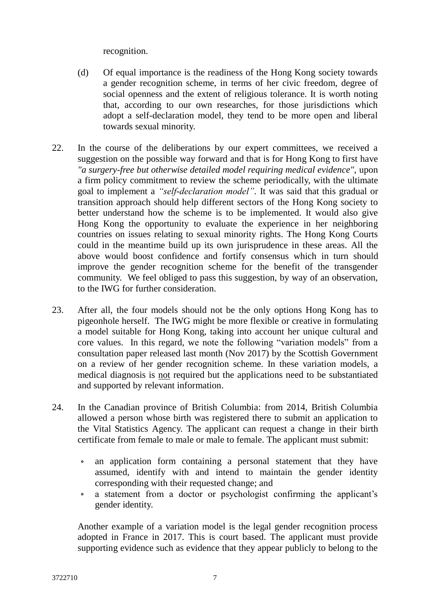recognition.

- (d) Of equal importance is the readiness of the Hong Kong society towards a gender recognition scheme, in terms of her civic freedom, degree of social openness and the extent of religious tolerance. It is worth noting that, according to our own researches, for those jurisdictions which adopt a self-declaration model, they tend to be more open and liberal towards sexual minority.
- 22. In the course of the deliberations by our expert committees, we received a suggestion on the possible way forward and that is for Hong Kong to first have *"a surgery-free but otherwise detailed model requiring medical evidence",* upon a firm policy commitment to review the scheme periodically, with the ultimate goal to implement a *"self-declaration model".* It was said that this gradual or transition approach should help different sectors of the Hong Kong society to better understand how the scheme is to be implemented. It would also give Hong Kong the opportunity to evaluate the experience in her neighboring countries on issues relating to sexual minority rights. The Hong Kong Courts could in the meantime build up its own jurisprudence in these areas. All the above would boost confidence and fortify consensus which in turn should improve the gender recognition scheme for the benefit of the transgender community. We feel obliged to pass this suggestion, by way of an observation, to the IWG for further consideration.
- 23. After all, the four models should not be the only options Hong Kong has to pigeonhole herself. The IWG might be more flexible or creative in formulating a model suitable for Hong Kong, taking into account her unique cultural and core values. In this regard, we note the following "variation models" from a consultation paper released last month (Nov 2017) by the Scottish Government on a review of her gender recognition scheme. In these variation models, a medical diagnosis is not required but the applications need to be substantiated and supported by relevant information.
- 24. In the Canadian province of British Columbia: from 2014, British Columbia allowed a person whose birth was registered there to submit an application to the Vital Statistics Agency. The applicant can request a change in their birth certificate from female to male or male to female. The applicant must submit:
	- 。 an application form containing a personal statement that they have assumed, identify with and intend to maintain the gender identity corresponding with their requested change; and
	- 。 a statement from a doctor or psychologist confirming the applicant's gender identity.

Another example of a variation model is the legal gender recognition process adopted in France in 2017. This is court based. The applicant must provide supporting evidence such as evidence that they appear publicly to belong to the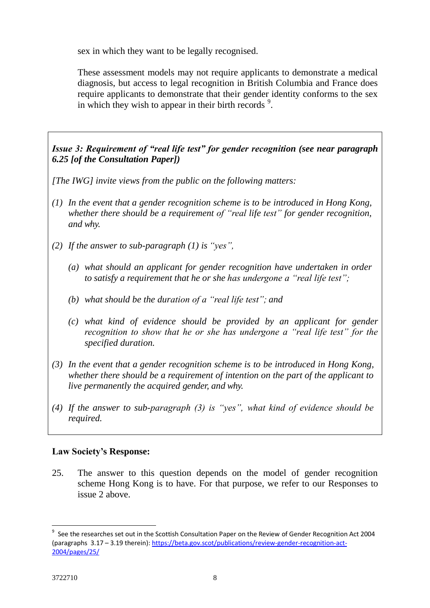sex in which they want to be legally recognised.

These assessment models may not require applicants to demonstrate a medical diagnosis, but access to legal recognition in British Columbia and France does require applicants to demonstrate that their gender identity conforms to the sex in which they wish to appear in their birth records  $9$ .

*Issue 3: Requirement of "real life test" for gender recognition (see near paragraph 6.25 [of the Consultation Paper])*

*[The IWG] invite views from the public on the following matters:*

- *(1) In the event that a gender recognition scheme is to be introduced in Hong Kong, whether there should be a requirement of "real life test" for gender recognition, and why.*
- *(2) If the answer to sub-paragraph (1) is "yes",*
	- *(a) what should an applicant for gender recognition have undertaken in order to satisfy a requirement that he or she has undergone a "real life test";*
	- *(b) what should be the duration of a "real life test"; and*
	- *(c) what kind of evidence should be provided by an applicant for gender recognition to show that he or she has undergone a "real life test" for the specified duration.*
- *(3) In the event that a gender recognition scheme is to be introduced in Hong Kong, whether there should be a requirement of intention on the part of the applicant to live permanently the acquired gender, and why.*
- *(4) If the answer to sub-paragraph (3) is "yes", what kind of evidence should be required.*

## **Law Society's Response:**

25. The answer to this question depends on the model of gender recognition scheme Hong Kong is to have. For that purpose, we refer to our Responses to issue 2 above.

<sup>&</sup>lt;u>.</u> <sup>9</sup> See the researches set out in the Scottish Consultation Paper on the Review of Gender Recognition Act 2004 (paragraphs 3.17 – 3.19 therein)[: https://beta.gov.scot/publications/review-gender-recognition-act-](https://beta.gov.scot/publications/review-gender-recognition-act-2004/pages/25/)[2004/pages/25/](https://beta.gov.scot/publications/review-gender-recognition-act-2004/pages/25/)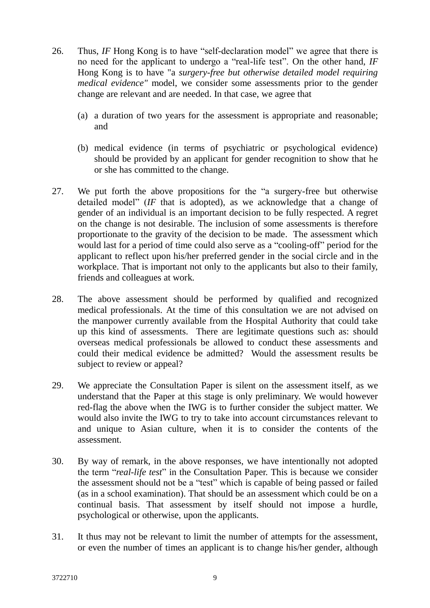- 26. Thus, *IF* Hong Kong is to have "self-declaration model" we agree that there is no need for the applicant to undergo a "real-life test". On the other hand, *IF*  Hong Kong is to have "a *surgery-free but otherwise detailed model requiring medical evidence"* model, we consider some assessments prior to the gender change are relevant and are needed. In that case, we agree that
	- (a) a duration of two years for the assessment is appropriate and reasonable; and
	- (b) medical evidence (in terms of psychiatric or psychological evidence) should be provided by an applicant for gender recognition to show that he or she has committed to the change.
- 27. We put forth the above propositions for the "a surgery-free but otherwise detailed model" (*IF* that is adopted), as we acknowledge that a change of gender of an individual is an important decision to be fully respected. A regret on the change is not desirable. The inclusion of some assessments is therefore proportionate to the gravity of the decision to be made. The assessment which would last for a period of time could also serve as a "cooling-off" period for the applicant to reflect upon his/her preferred gender in the social circle and in the workplace. That is important not only to the applicants but also to their family, friends and colleagues at work.
- 28. The above assessment should be performed by qualified and recognized medical professionals. At the time of this consultation we are not advised on the manpower currently available from the Hospital Authority that could take up this kind of assessments. There are legitimate questions such as: should overseas medical professionals be allowed to conduct these assessments and could their medical evidence be admitted? Would the assessment results be subject to review or appeal?
- 29. We appreciate the Consultation Paper is silent on the assessment itself, as we understand that the Paper at this stage is only preliminary. We would however red-flag the above when the IWG is to further consider the subject matter. We would also invite the IWG to try to take into account circumstances relevant to and unique to Asian culture, when it is to consider the contents of the assessment.
- 30. By way of remark, in the above responses, we have intentionally not adopted the term "*real-life test*" in the Consultation Paper. This is because we consider the assessment should not be a "test" which is capable of being passed or failed (as in a school examination). That should be an assessment which could be on a continual basis. That assessment by itself should not impose a hurdle, psychological or otherwise, upon the applicants.
- 31. It thus may not be relevant to limit the number of attempts for the assessment, or even the number of times an applicant is to change his/her gender, although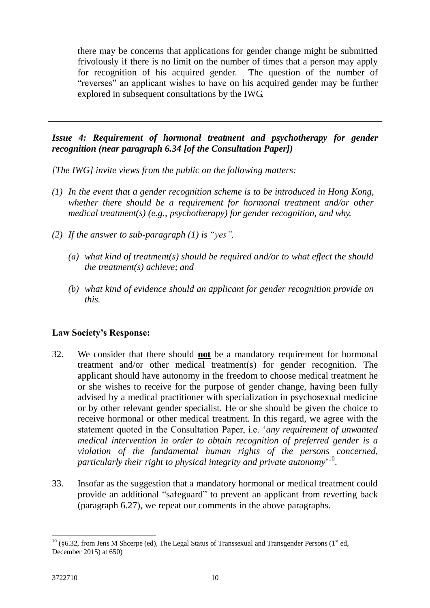there may be concerns that applications for gender change might be submitted frivolously if there is no limit on the number of times that a person may apply for recognition of his acquired gender. The question of the number of "reverses" an applicant wishes to have on his acquired gender may be further explored in subsequent consultations by the IWG.

*Issue 4: Requirement of hormonal treatment and psychotherapy for gender recognition (near paragraph 6.34 [of the Consultation Paper])*

*[The IWG] invite views from the public on the following matters:*

- *(1) In the event that a gender recognition scheme is to be introduced in Hong Kong, whether there should be a requirement for hormonal treatment and/or other medical treatment(s) (e.g., psychotherapy) for gender recognition, and why.*
- *(2) If the answer to sub-paragraph (1) is "yes",*
	- *(a) what kind of treatment(s) should be required and/or to what effect the should the treatment(s) achieve; and*
	- *(b) what kind of evidence should an applicant for gender recognition provide on this.*

## **Law Society's Response:**

- 32. We consider that there should **not** be a mandatory requirement for hormonal treatment and/or other medical treatment(s) for gender recognition. The applicant should have autonomy in the freedom to choose medical treatment he or she wishes to receive for the purpose of gender change, having been fully advised by a medical practitioner with specialization in psychosexual medicine or by other relevant gender specialist. He or she should be given the choice to receive hormonal or other medical treatment. In this regard, we agree with the statement quoted in the Consultation Paper, i.e. '*any requirement of unwanted medical intervention in order to obtain recognition of preferred gender is a violation of the fundamental human rights of the persons concerned, particularly their right to physical integrity and private autonomy*' 10 .
- 33. Insofar as the suggestion that a mandatory hormonal or medical treatment could provide an additional "safeguard" to prevent an applicant from reverting back (paragraph 6.27), we repeat our comments in the above paragraphs.

<sup>-</sup> $10$  (§6.32, from Jens M Shcerpe (ed), The Legal Status of Transsexual and Transgender Persons ( $1<sup>st</sup>$  ed, December 2015) at 650)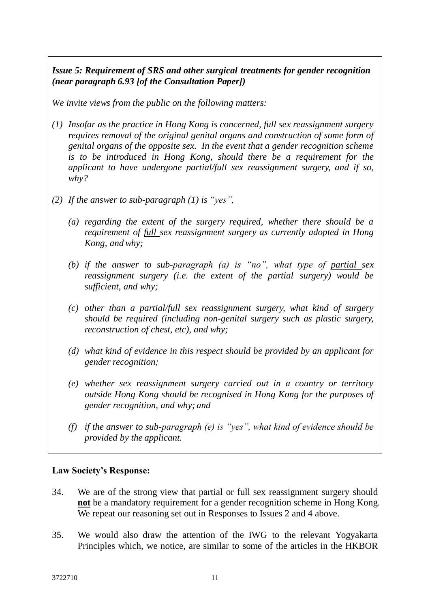*Issue 5: Requirement of SRS and other surgical treatments for gender recognition (near paragraph 6.93 [of the Consultation Paper])*

*We invite views from the public on the following matters:*

- *(1) Insofar as the practice in Hong Kong is concerned, full sex reassignment surgery requires removal of the original genital organs and construction of some form of genital organs of the opposite sex. In the event that a gender recognition scheme is to be introduced in Hong Kong, should there be a requirement for the applicant to have undergone partial/full sex reassignment surgery, and if so, why?*
- *(2) If the answer to sub-paragraph (1) is "yes",*
	- *(a) regarding the extent of the surgery required, whether there should be a requirement of full sex reassignment surgery as currently adopted in Hong Kong, and why;*
	- *(b) if the answer to sub-paragraph (a) is "no", what type of partial sex reassignment surgery (i.e. the extent of the partial surgery) would be sufficient, and why;*
	- *(c) other than a partial/full sex reassignment surgery, what kind of surgery should be required (including non-genital surgery such as plastic surgery, reconstruction of chest, etc), and why;*
	- *(d) what kind of evidence in this respect should be provided by an applicant for gender recognition;*
	- *(e) whether sex reassignment surgery carried out in a country or territory outside Hong Kong should be recognised in Hong Kong for the purposes of gender recognition, and why; and*
	- *(f) if the answer to sub-paragraph (e) is "yes", what kind of evidence should be provided by the applicant.*

#### **Law Society's Response:**

- 34. We are of the strong view that partial or full sex reassignment surgery should **not** be a mandatory requirement for a gender recognition scheme in Hong Kong. We repeat our reasoning set out in Responses to Issues 2 and 4 above.
- 35. We would also draw the attention of the IWG to the relevant Yogyakarta Principles which, we notice, are similar to some of the articles in the HKBOR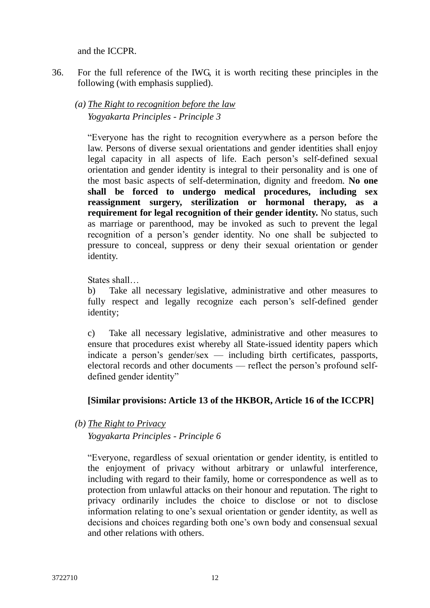and the ICCPR.

36. For the full reference of the IWG, it is worth reciting these principles in the following (with emphasis supplied).

## *(a) The Right to recognition before the law Yogyakarta Principles - Principle 3*

"Everyone has the right to recognition everywhere as a person before the law. Persons of diverse sexual orientations and gender identities shall enjoy legal capacity in all aspects of life. Each person's self-defined sexual orientation and gender identity is integral to their personality and is one of the most basic aspects of self-determination, dignity and freedom. **No one shall be forced to undergo medical procedures, including sex reassignment surgery, sterilization or hormonal therapy, as a requirement for legal recognition of their gender identity.** No status, such as marriage or parenthood, may be invoked as such to prevent the legal recognition of a person's gender identity. No one shall be subjected to pressure to conceal, suppress or deny their sexual orientation or gender identity.

#### States shall…

b) Take all necessary legislative, administrative and other measures to fully respect and legally recognize each person's self-defined gender identity;

c) Take all necessary legislative, administrative and other measures to ensure that procedures exist whereby all State-issued identity papers which indicate a person's gender/sex — including birth certificates, passports, electoral records and other documents — reflect the person's profound selfdefined gender identity"

#### **[Similar provisions: Article 13 of the HKBOR, Article 16 of the ICCPR]**

#### *(b) The Right to Privacy*

*Yogyakarta Principles - Principle 6*

"Everyone, regardless of sexual orientation or gender identity, is entitled to the enjoyment of privacy without arbitrary or unlawful interference, including with regard to their family, home or correspondence as well as to protection from unlawful attacks on their honour and reputation. The right to privacy ordinarily includes the choice to disclose or not to disclose information relating to one's sexual orientation or gender identity, as well as decisions and choices regarding both one's own body and consensual sexual and other relations with others.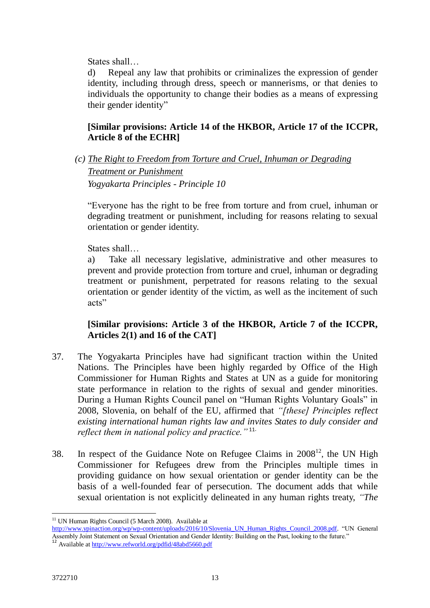States shall…

d) Repeal any law that prohibits or criminalizes the expression of gender identity, including through dress, speech or mannerisms, or that denies to individuals the opportunity to change their bodies as a means of expressing their gender identity"

## **[Similar provisions: Article 14 of the HKBOR, Article 17 of the ICCPR, Article 8 of the ECHR]**

*(c) The Right to Freedom from Torture and Cruel, Inhuman or Degrading Treatment or Punishment Yogyakarta Principles - Principle 10*

"Everyone has the right to be free from torture and from cruel, inhuman or degrading treatment or punishment, including for reasons relating to sexual orientation or gender identity.

States shall…

a) Take all necessary legislative, administrative and other measures to prevent and provide protection from torture and cruel, inhuman or degrading treatment or punishment, perpetrated for reasons relating to the sexual orientation or gender identity of the victim, as well as the incitement of such acts"

## **[Similar provisions: Article 3 of the HKBOR, Article 7 of the ICCPR, Articles 2(1) and 16 of the CAT]**

- 37. The Yogyakarta Principles have had significant traction within the United Nations. The Principles have been highly regarded by Office of the High Commissioner for Human Rights and States at UN as a guide for monitoring state performance in relation to the rights of sexual and gender minorities. During a Human Rights Council panel on "Human Rights Voluntary Goals" in 2008, Slovenia, on behalf of the EU, affirmed that *"[these] Principles reflect existing international human rights law and invites States to duly consider and reflect them in national policy and practice."* <sup>11</sup>.
- 38. In respect of the Guidance Note on Refugee Claims in  $2008^{12}$ , the UN High Commissioner for Refugees drew from the Principles multiple times in providing guidance on how sexual orientation or gender identity can be the basis of a well-founded fear of persecution. The document adds that while sexual orientation is not explicitly delineated in any human rights treaty, *"The*

-

 $11$  UN Human Rights Council (5 March 2008). Available at

[http://www.ypinaction.org/wp/wp-content/uploads/2016/10/Slovenia\\_UN\\_Human\\_Rights\\_Council\\_2008.pdf.](http://www.ypinaction.org/wp/wp-content/uploads/2016/10/Slovenia_UN_Human_Rights_Council_2008.pdf) "UN General Assembly Joint Statement on Sexual Orientation and Gender Identity: Building on the Past, looking to the future."

<sup>&</sup>lt;sup>12</sup> Available at<http://www.refworld.org/pdfid/48abd5660.pdf>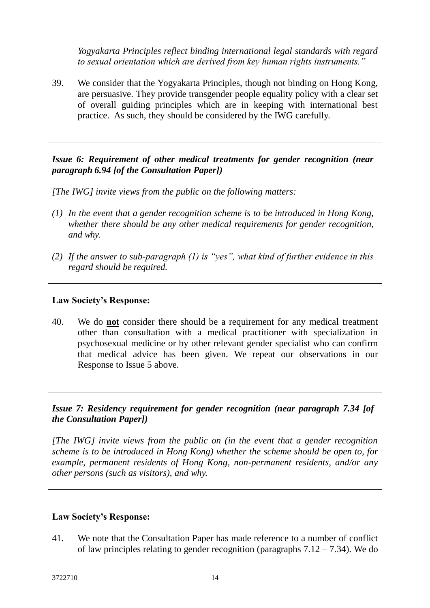*Yogyakarta Principles reflect binding international legal standards with regard to sexual orientation which are derived from key human rights instruments."*

39. We consider that the Yogyakarta Principles, though not binding on Hong Kong, are persuasive. They provide transgender people equality policy with a clear set of overall guiding principles which are in keeping with international best practice. As such, they should be considered by the IWG carefully.

*Issue 6: Requirement of other medical treatments for gender recognition (near paragraph 6.94 [of the Consultation Paper])*

*[The IWG] invite views from the public on the following matters:*

- *(1) In the event that a gender recognition scheme is to be introduced in Hong Kong, whether there should be any other medical requirements for gender recognition, and why.*
- *(2) If the answer to sub-paragraph (1) is "yes", what kind of further evidence in this regard should be required.*

#### **Law Society's Response:**

40. We do **not** consider there should be a requirement for any medical treatment other than consultation with a medical practitioner with specialization in psychosexual medicine or by other relevant gender specialist who can confirm that medical advice has been given. We repeat our observations in our Response to Issue 5 above.

*Issue 7: Residency requirement for gender recognition (near paragraph 7.34 [of the Consultation Paper])*

*[The IWG] invite views from the public on (in the event that a gender recognition scheme is to be introduced in Hong Kong) whether the scheme should be open to, for example, permanent residents of Hong Kong, non-permanent residents, and/or any other persons (such as visitors), and why.*

#### **Law Society's Response:**

41. We note that the Consultation Paper has made reference to a number of conflict of law principles relating to gender recognition (paragraphs 7.12 – 7.34). We do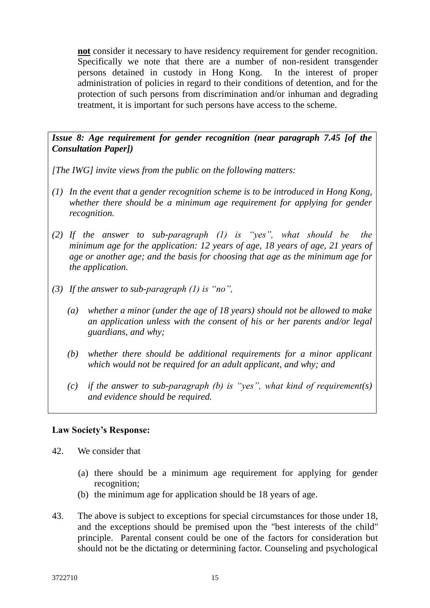**not** consider it necessary to have residency requirement for gender recognition. Specifically we note that there are a number of non-resident transgender persons detained in custody in Hong Kong. In the interest of proper administration of policies in regard to their conditions of detention, and for the protection of such persons from discrimination and/or inhuman and degrading treatment, it is important for such persons have access to the scheme.

*Issue 8: Age requirement for gender recognition (near paragraph 7.45 [of the Consultation Paper])*

*[The IWG] invite views from the public on the following matters:*

- *(1) In the event that a gender recognition scheme is to be introduced in Hong Kong, whether there should be a minimum age requirement for applying for gender recognition.*
- *(2) If the answer to sub-paragraph (1) is "yes", what should be the minimum age for the application: 12 years of age, 18 years of age, 21 years of age or another age; and the basis for choosing that age as the minimum age for the application.*
- *(3) If the answer to sub-paragraph (1) is "no",*
	- *(a) whether a minor (under the age of 18 years) should not be allowed to make an application unless with the consent of his or her parents and/or legal guardians, and why;*
	- *(b) whether there should be additional requirements for a minor applicant which would not be required for an adult applicant, and why; and*
	- *(c) if the answer to sub-paragraph (b) is "yes", what kind of requirement(s) and evidence should be required.*

#### **Law Society's Response:**

- 42. We consider that
	- (a) there should be a minimum age requirement for applying for gender recognition;
	- (b) the minimum age for application should be 18 years of age.
- 43. The above is subject to exceptions for special circumstances for those under 18, and the exceptions should be premised upon the "best interests of the child" principle. Parental consent could be one of the factors for consideration but should not be the dictating or determining factor. Counseling and psychological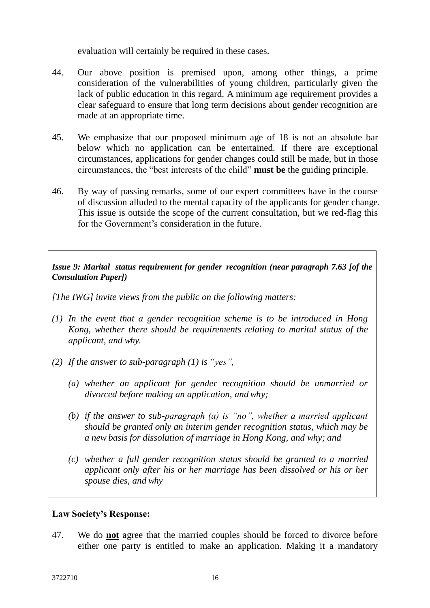evaluation will certainly be required in these cases.

- 44. Our above position is premised upon, among other things, a prime consideration of the vulnerabilities of young children, particularly given the lack of public education in this regard. A minimum age requirement provides a clear safeguard to ensure that long term decisions about gender recognition are made at an appropriate time.
- 45. We emphasize that our proposed minimum age of 18 is not an absolute bar below which no application can be entertained. If there are exceptional circumstances, applications for gender changes could still be made, but in those circumstances, the "best interests of the child" **must be** the guiding principle.
- 46. By way of passing remarks, some of our expert committees have in the course of discussion alluded to the mental capacity of the applicants for gender change. This issue is outside the scope of the current consultation, but we red-flag this for the Government's consideration in the future.

*Issue 9: Marital status requirement for gender recognition (near paragraph 7.63 [of the Consultation Paper])*

*[The IWG] invite views from the public on the following matters:*

- *(1) In the event that a gender recognition scheme is to be introduced in Hong Kong, whether there should be requirements relating to marital status of the applicant, and why.*
- *(2) If the answer to sub-paragraph (1) is "yes",*
	- *(a) whether an applicant for gender recognition should be unmarried or divorced before making an application, and why;*
	- *(b) if the answer to sub-paragraph (a) is "no", whether a married applicant should be granted only an interim gender recognition status, which may be a new basis for dissolution of marriage in Hong Kong, and why; and*
	- *(c) whether a full gender recognition status should be granted to a married applicant only after his or her marriage has been dissolved or his or her spouse dies, and why*

#### **Law Society's Response:**

47. We do **not** agree that the married couples should be forced to divorce before either one party is entitled to make an application. Making it a mandatory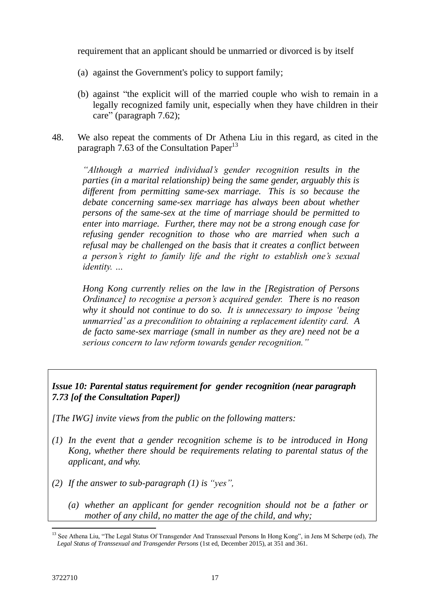requirement that an applicant should be unmarried or divorced is by itself

- (a) against the Government's policy to support family;
- (b) against "the explicit will of the married couple who wish to remain in a legally recognized family unit, especially when they have children in their care" (paragraph 7.62);
- 48. We also repeat the comments of Dr Athena Liu in this regard, as cited in the paragraph 7.63 of the Consultation Paper<sup>13</sup>

*"Although a married individual's gender recognition results in the parties (in a marital relationship) being the same gender, arguably this is different from permitting same-sex marriage. This is so because the debate concerning same-sex marriage has always been about whether persons of the same-sex at the time of marriage should be permitted to enter into marriage. Further, there may not be a strong enough case for refusing gender recognition to those who are married when such a refusal may be challenged on the basis that it creates a conflict between a person's right to family life and the right to establish one's sexual identity. …*

*Hong Kong currently relies on the law in the [Registration of Persons Ordinance] to recognise a person's acquired gender. There is no reason why it should not continue to do so. It is unnecessary to impose 'being unmarried' as a precondition to obtaining a replacement identity card. A de facto same-sex marriage (small in number as they are) need not be a serious concern to law reform towards gender recognition."*

## *Issue 10: Parental status requirement for gender recognition (near paragraph 7.73 [of the Consultation Paper])*

*[The IWG] invite views from the public on the following matters:*

- *(1) In the event that a gender recognition scheme is to be introduced in Hong Kong, whether there should be requirements relating to parental status of the applicant, and why.*
- *(2) If the answer to sub-paragraph (1) is "yes",*
	- *(a) whether an applicant for gender recognition should not be a father or mother of any child, no matter the age of the child, and why;*

<sup>-</sup><sup>13</sup> See Athena Liu, "The Legal Status Of Transgender And Transsexual Persons In Hong Kong", in Jens M Scherpe (ed), *The Legal Status of Transsexual and Transgender Persons* (1st ed, December 2015), at 351 and 361.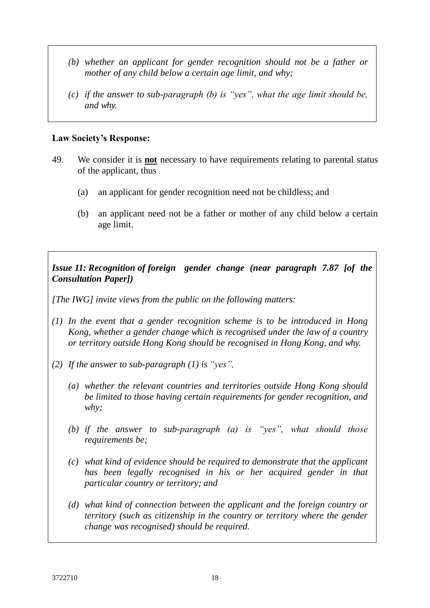- *(b) whether an applicant for gender recognition should not be a father or mother of any child below a certain age limit, and why;*
- *(c) if the answer to sub-paragraph (b) is "yes", what the age limit should be, and why.*

- 49. We consider it is **not** necessary to have requirements relating to parental status of the applicant, thus
	- (a) an applicant for gender recognition need not be childless; and
	- (b) an applicant need not be a father or mother of any child below a certain age limit.

*Issue 11: Recognition of foreign gender change (near paragraph 7.87 [of the Consultation Paper])*

*[The IWG] invite views from the public on the following matters:*

- *(1) In the event that a gender recognition scheme is to be introduced in Hong Kong, whether a gender change which is recognised under the law of a country or territory outside Hong Kong should be recognised in Hong Kong, and why.*
- *(2) If the answer to sub-paragraph (1) is "yes",*
	- *(a) whether the relevant countries and territories outside Hong Kong should be limited to those having certain requirements for gender recognition, and why;*
	- *(b) if the answer to sub-paragraph (a) is "yes", what should those requirements be;*
	- *(c) what kind of evidence should be required to demonstrate that the applicant has been legally recognised in his or her acquired gender in that particular country or territory; and*
	- *(d) what kind of connection between the applicant and the foreign country or territory (such as citizenship in the country or territory where the gender change was recognised) should be required.*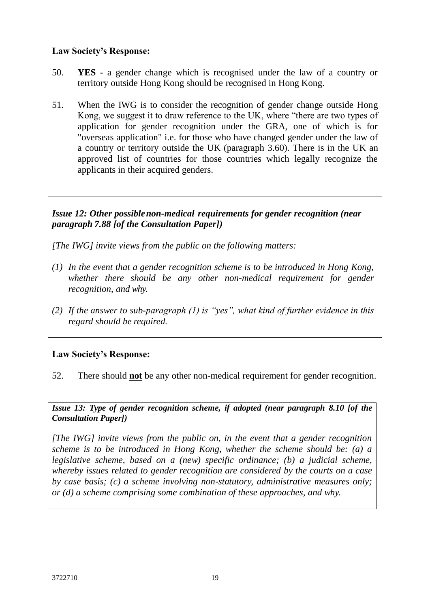- 50. **YES** a gender change which is recognised under the law of a country or territory outside Hong Kong should be recognised in Hong Kong.
- 51. When the IWG is to consider the recognition of gender change outside Hong Kong, we suggest it to draw reference to the UK, where "there are two types of application for gender recognition under the GRA, one of which is for "overseas application" i.e. for those who have changed gender under the law of a country or territory outside the UK (paragraph 3.60). There is in the UK an approved list of countries for those countries which legally recognize the applicants in their acquired genders.

*Issue 12: Other possiblenon-medical requirements for gender recognition (near paragraph 7.88 [of the Consultation Paper])*

*[The IWG] invite views from the public on the following matters:*

- *(1) In the event that a gender recognition scheme is to be introduced in Hong Kong, whether there should be any other non-medical requirement for gender recognition, and why.*
- *(2) If the answer to sub-paragraph (1) is "yes", what kind of further evidence in this regard should be required.*

#### **Law Society's Response:**

52. There should **not** be any other non-medical requirement for gender recognition.

*Issue 13: Type of gender recognition scheme, if adopted (near paragraph 8.10 [of the Consultation Paper])*

*[The IWG] invite views from the public on, in the event that a gender recognition scheme is to be introduced in Hong Kong, whether the scheme should be: (a) a legislative scheme, based on a (new) specific ordinance; (b) a judicial scheme, whereby issues related to gender recognition are considered by the courts on a case by case basis; (c) a scheme involving non-statutory, administrative measures only; or (d) a scheme comprising some combination of these approaches, and why.*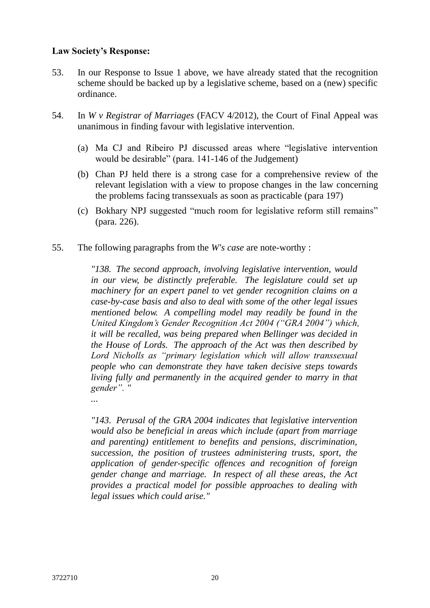- 53. In our Response to Issue 1 above, we have already stated that the recognition scheme should be backed up by a legislative scheme, based on a (new) specific ordinance.
- 54. In *W v Registrar of Marriages* (FACV 4/2012), the Court of Final Appeal was unanimous in finding favour with legislative intervention.
	- (a) Ma CJ and Ribeiro PJ discussed areas where "legislative intervention would be desirable" (para. 141-146 of the Judgement)
	- (b) Chan PJ held there is a strong case for a comprehensive review of the relevant legislation with a view to propose changes in the law concerning the problems facing transsexuals as soon as practicable (para 197)
	- (c) Bokhary NPJ suggested "much room for legislative reform still remains" (para. 226).
- 55. The following paragraphs from the *W's case* are note-worthy :

*"138. The second approach, involving legislative intervention, would in our view, be distinctly preferable. The legislature could set up machinery for an expert panel to vet gender recognition claims on a case-by-case basis and also to deal with some of the other legal issues mentioned below. A compelling model may readily be found in the United Kingdom's Gender Recognition Act 2004 ("GRA 2004") which, it will be recalled, was being prepared when Bellinger was decided in the House of Lords. The approach of the Act was then described by Lord Nicholls as "primary legislation which will allow transsexual people who can demonstrate they have taken decisive steps towards living fully and permanently in the acquired gender to marry in that gender". "*

*...*

*"143. Perusal of the GRA 2004 indicates that legislative intervention would also be beneficial in areas which include (apart from marriage and parenting) entitlement to benefits and pensions, discrimination, succession, the position of trustees administering trusts, sport, the application of gender-specific offences and recognition of foreign gender change and marriage. In respect of all these areas, the Act provides a practical model for possible approaches to dealing with legal issues which could arise."*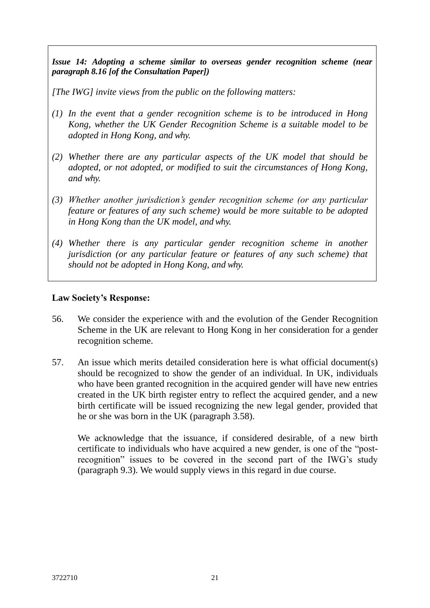*Issue 14: Adopting a scheme similar to overseas gender recognition scheme (near paragraph 8.16 [of the Consultation Paper])*

*[The IWG] invite views from the public on the following matters:*

- *(1) In the event that a gender recognition scheme is to be introduced in Hong Kong, whether the UK Gender Recognition Scheme is a suitable model to be adopted in Hong Kong, and why.*
- *(2) Whether there are any particular aspects of the UK model that should be adopted, or not adopted, or modified to suit the circumstances of Hong Kong, and why.*
- *(3) Whether another jurisdiction's gender recognition scheme (or any particular feature or features of any such scheme) would be more suitable to be adopted in Hong Kong than the UK model, andwhy.*
- *(4) Whether there is any particular gender recognition scheme in another jurisdiction (or any particular feature or features of any such scheme) that should not be adopted in Hong Kong, and why.*

## **Law Society's Response:**

- 56. We consider the experience with and the evolution of the Gender Recognition Scheme in the UK are relevant to Hong Kong in her consideration for a gender recognition scheme.
- 57. An issue which merits detailed consideration here is what official document(s) should be recognized to show the gender of an individual. In UK, individuals who have been granted recognition in the acquired gender will have new entries created in the UK birth register entry to reflect the acquired gender, and a new birth certificate will be issued recognizing the new legal gender, provided that he or she was born in the UK (paragraph 3.58).

We acknowledge that the issuance, if considered desirable, of a new birth certificate to individuals who have acquired a new gender, is one of the "postrecognition" issues to be covered in the second part of the IWG's study (paragraph 9.3). We would supply views in this regard in due course.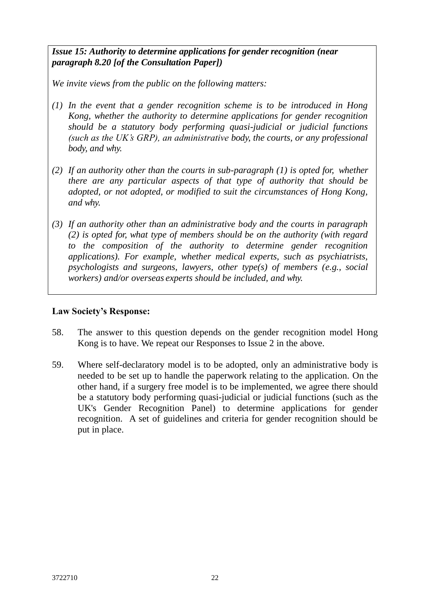## *Issue 15: Authority to determine applications for gender recognition (near paragraph 8.20 [of the Consultation Paper])*

*We invite views from the public on the following matters:*

- *(1) In the event that a gender recognition scheme is to be introduced in Hong Kong, whether the authority to determine applications for gender recognition should be a statutory body performing quasi-judicial or judicial functions (such as the UK's GRP), an administrative body, the courts, or any professional body, and why.*
- *(2) If an authority other than the courts in sub-paragraph (1) is opted for, whether there are any particular aspects of that type of authority that should be adopted, or not adopted, or modified to suit the circumstances of Hong Kong, and why.*
- *(3) If an authority other than an administrative body and the courts in paragraph (2) is opted for, what type of members should be on the authority (with regard to the composition of the authority to determine gender recognition applications). For example, whether medical experts, such as psychiatrists, psychologists and surgeons, lawyers, other type(s) of members (e.g., social workers) and/or overseas experts should be included, and why.*

#### **Law Society's Response:**

- 58. The answer to this question depends on the gender recognition model Hong Kong is to have. We repeat our Responses to Issue 2 in the above.
- 59. Where self-declaratory model is to be adopted, only an administrative body is needed to be set up to handle the paperwork relating to the application. On the other hand, if a surgery free model is to be implemented, we agree there should be a statutory body performing quasi-judicial or judicial functions (such as the UK's Gender Recognition Panel) to determine applications for gender recognition. A set of guidelines and criteria for gender recognition should be put in place.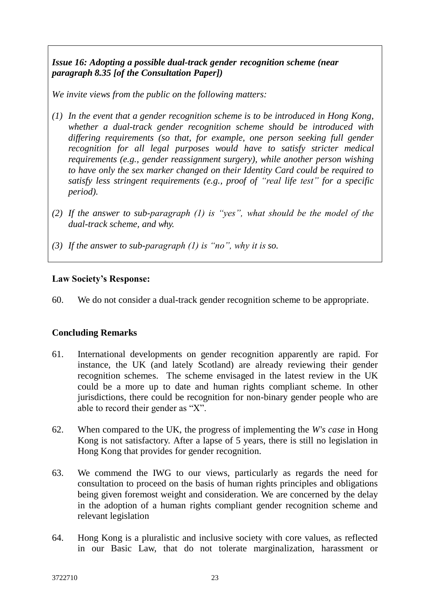*Issue 16: Adopting a possible dual-track gender recognition scheme (near paragraph 8.35 [of the Consultation Paper])*

*We invite views from the public on the following matters:*

- *(1) In the event that a gender recognition scheme is to be introduced in Hong Kong, whether a dual-track gender recognition scheme should be introduced with differing requirements (so that, for example, one person seeking full gender recognition for all legal purposes would have to satisfy stricter medical requirements (e.g., gender reassignment surgery), while another person wishing to have only the sex marker changed on their Identity Card could be required to satisfy less stringent requirements (e.g., proof of "real life test" for a specific period).*
- *(2) If the answer to sub-paragraph (1) is "yes", what should be the model of the dual-track scheme, and why.*
- *(3) If the answer to sub-paragraph (1) is "no", why it is so.*

#### **Law Society's Response:**

60. We do not consider a dual-track gender recognition scheme to be appropriate.

#### **Concluding Remarks**

- 61. International developments on gender recognition apparently are rapid. For instance, the UK (and lately Scotland) are already reviewing their gender recognition schemes. The scheme envisaged in the latest review in the UK could be a more up to date and human rights compliant scheme. In other jurisdictions, there could be recognition for non-binary gender people who are able to record their gender as "X".
- 62. When compared to the UK, the progress of implementing the *W's case* in Hong Kong is not satisfactory. After a lapse of 5 years, there is still no legislation in Hong Kong that provides for gender recognition.
- 63. We commend the IWG to our views, particularly as regards the need for consultation to proceed on the basis of human rights principles and obligations being given foremost weight and consideration. We are concerned by the delay in the adoption of a human rights compliant gender recognition scheme and relevant legislation
- 64. Hong Kong is a pluralistic and inclusive society with core values, as reflected in our Basic Law, that do not tolerate marginalization, harassment or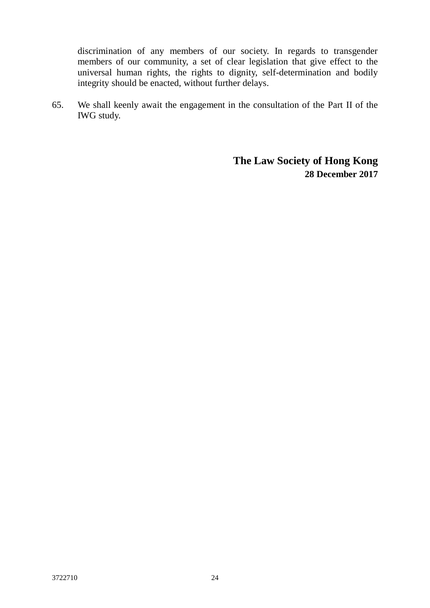discrimination of any members of our society. In regards to transgender members of our community, a set of clear legislation that give effect to the universal human rights, the rights to dignity, self-determination and bodily integrity should be enacted, without further delays.

65. We shall keenly await the engagement in the consultation of the Part II of the IWG study.

> **The Law Society of Hong Kong 28 December 2017**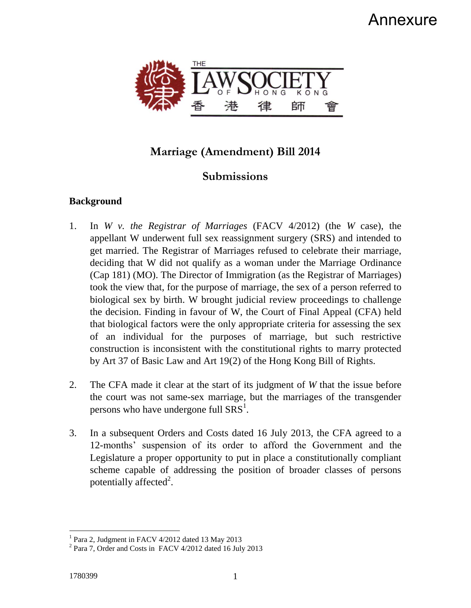# Annexure



# **Marriage (Amendment) Bill 2014**

# **Submissions**

#### **Background**

- 1. In *W v. the Registrar of Marriages* (FACV 4/2012) (the *W* case), the appellant W underwent full sex reassignment surgery (SRS) and intended to get married. The Registrar of Marriages refused to celebrate their marriage, deciding that W did not qualify as a woman under the Marriage Ordinance (Cap 181) (MO). The Director of Immigration (as the Registrar of Marriages) took the view that, for the purpose of marriage, the sex of a person referred to biological sex by birth. W brought judicial review proceedings to challenge the decision. Finding in favour of W, the Court of Final Appeal (CFA) held that biological factors were the only appropriate criteria for assessing the sex of an individual for the purposes of marriage, but such restrictive construction is inconsistent with the constitutional rights to marry protected by Art 37 of Basic Law and Art 19(2) of the Hong Kong Bill of Rights.
- 2. The CFA made it clear at the start of its judgment of *W* that the issue before the court was not same-sex marriage, but the marriages of the transgender persons who have undergone full  $SRS<sup>1</sup>$ .
- 3. In a subsequent Orders and Costs dated 16 July 2013, the CFA agreed to a 12-months' suspension of its order to afford the Government and the Legislature a proper opportunity to put in place a constitutionally compliant scheme capable of addressing the position of broader classes of persons potentially affected<sup>2</sup>.

<sup>&</sup>lt;sup>1</sup> Para 2, Judgment in FACV 4/2012 dated 13 May 2013

<sup>&</sup>lt;sup>2</sup> Para 7, Order and Costs in FACV 4/2012 dated 16 July 2013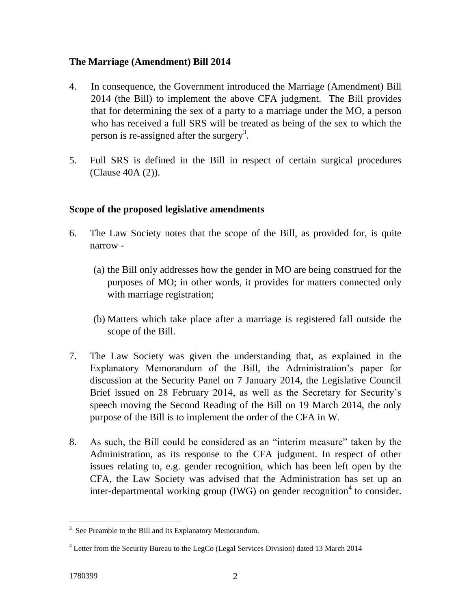#### **The Marriage (Amendment) Bill 2014**

- 4. In consequence, the Government introduced the Marriage (Amendment) Bill 2014 (the Bill) to implement the above CFA judgment. The Bill provides that for determining the sex of a party to a marriage under the MO, a person who has received a full SRS will be treated as being of the sex to which the person is re-assigned after the surgery<sup>3</sup>.
- 5. Full SRS is defined in the Bill in respect of certain surgical procedures (Clause 40A (2)).

#### **Scope of the proposed legislative amendments**

- 6. The Law Society notes that the scope of the Bill, as provided for, is quite narrow -
	- (a) the Bill only addresses how the gender in MO are being construed for the purposes of MO; in other words, it provides for matters connected only with marriage registration;
	- (b) Matters which take place after a marriage is registered fall outside the scope of the Bill.
- 7. The Law Society was given the understanding that, as explained in the Explanatory Memorandum of the Bill, the Administration's paper for discussion at the Security Panel on 7 January 2014, the Legislative Council Brief issued on 28 February 2014, as well as the Secretary for Security's speech moving the Second Reading of the Bill on 19 March 2014, the only purpose of the Bill is to implement the order of the CFA in W.
- 8. As such, the Bill could be considered as an "interim measure" taken by the Administration, as its response to the CFA judgment. In respect of other issues relating to, e.g. gender recognition, which has been left open by the CFA, the Law Society was advised that the Administration has set up an inter-departmental working group (IWG) on gender recognition<sup>4</sup> to consider.

<sup>&</sup>lt;sup>3</sup> See Preamble to the Bill and its Explanatory Memorandum.

<sup>&</sup>lt;sup>4</sup> Letter from the Security Bureau to the LegCo (Legal Services Division) dated 13 March 2014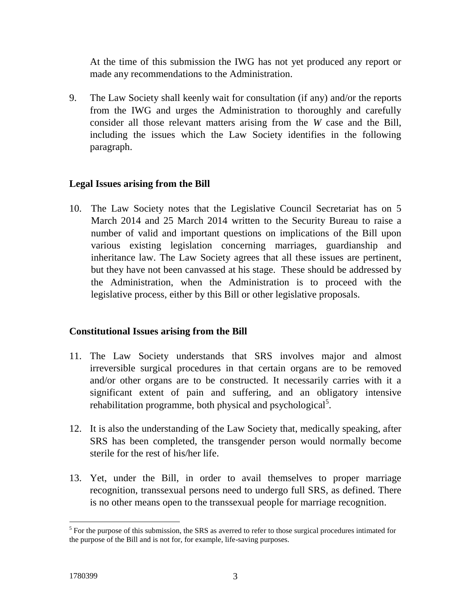At the time of this submission the IWG has not yet produced any report or made any recommendations to the Administration.

9. The Law Society shall keenly wait for consultation (if any) and/or the reports from the IWG and urges the Administration to thoroughly and carefully consider all those relevant matters arising from the *W* case and the Bill, including the issues which the Law Society identifies in the following paragraph.

#### **Legal Issues arising from the Bill**

10. The Law Society notes that the Legislative Council Secretariat has on 5 March 2014 and 25 March 2014 written to the Security Bureau to raise a number of valid and important questions on implications of the Bill upon various existing legislation concerning marriages, guardianship and inheritance law. The Law Society agrees that all these issues are pertinent, but they have not been canvassed at his stage. These should be addressed by the Administration, when the Administration is to proceed with the legislative process, either by this Bill or other legislative proposals.

#### **Constitutional Issues arising from the Bill**

- 11. The Law Society understands that SRS involves major and almost irreversible surgical procedures in that certain organs are to be removed and/or other organs are to be constructed. It necessarily carries with it a significant extent of pain and suffering, and an obligatory intensive rehabilitation programme, both physical and psychological<sup>5</sup>.
- 12. It is also the understanding of the Law Society that, medically speaking, after SRS has been completed, the transgender person would normally become sterile for the rest of his/her life.
- 13. Yet, under the Bill, in order to avail themselves to proper marriage recognition, transsexual persons need to undergo full SRS, as defined. There is no other means open to the transsexual people for marriage recognition.

<sup>&</sup>lt;sup>5</sup> For the purpose of this submission, the SRS as averred to refer to those surgical procedures intimated for the purpose of the Bill and is not for, for example, life-saving purposes.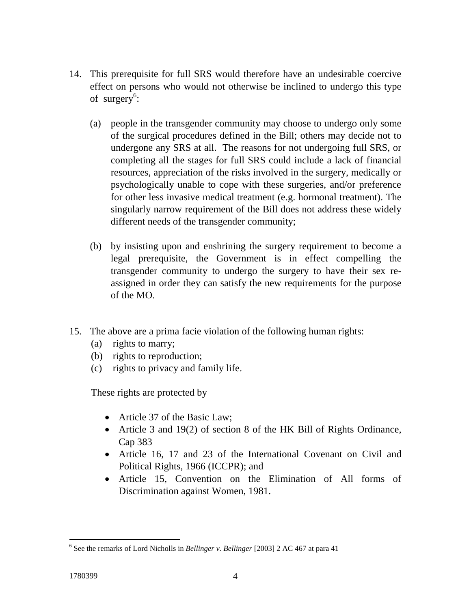- 14. This prerequisite for full SRS would therefore have an undesirable coercive effect on persons who would not otherwise be inclined to undergo this type of surgery<sup>6</sup>:
	- (a) people in the transgender community may choose to undergo only some of the surgical procedures defined in the Bill; others may decide not to undergone any SRS at all. The reasons for not undergoing full SRS, or completing all the stages for full SRS could include a lack of financial resources, appreciation of the risks involved in the surgery, medically or psychologically unable to cope with these surgeries, and/or preference for other less invasive medical treatment (e.g. hormonal treatment). The singularly narrow requirement of the Bill does not address these widely different needs of the transgender community;
	- (b) by insisting upon and enshrining the surgery requirement to become a legal prerequisite, the Government is in effect compelling the transgender community to undergo the surgery to have their sex reassigned in order they can satisfy the new requirements for the purpose of the MO.
- 15. The above are a prima facie violation of the following human rights:
	- (a) rights to marry;
	- (b) rights to reproduction;
	- (c) rights to privacy and family life.

These rights are protected by

- Article 37 of the Basic Law:
- Article 3 and 19(2) of section 8 of the HK Bill of Rights Ordinance, Cap 383
- Article 16, 17 and 23 of the International Covenant on Civil and Political Rights, 1966 (ICCPR); and
- Article 15, Convention on the Elimination of All forms of Discrimination against Women, 1981.

<sup>6</sup> See the remarks of Lord Nicholls in *Bellinger v. Bellinger* [2003] 2 AC 467 at para 41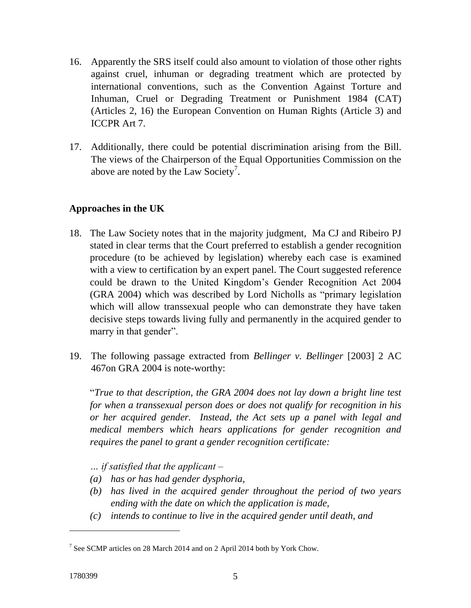- 16. Apparently the SRS itself could also amount to violation of those other rights against cruel, inhuman or degrading treatment which are protected by international conventions, such as the Convention Against Torture and Inhuman, Cruel or Degrading Treatment or Punishment 1984 (CAT) (Articles 2, 16) the European Convention on Human Rights (Article 3) and ICCPR Art 7.
- 17. Additionally, there could be potential discrimination arising from the Bill. The views of the Chairperson of the Equal Opportunities Commission on the above are noted by the Law Society<sup>7</sup>.

## **Approaches in the UK**

- 18. The Law Society notes that in the majority judgment, Ma CJ and Ribeiro PJ stated in clear terms that the Court preferred to establish a gender recognition procedure (to be achieved by legislation) whereby each case is examined with a view to certification by an expert panel. The Court suggested reference could be drawn to the United Kingdom's Gender Recognition Act 2004 (GRA 2004) which was described by Lord Nicholls as "primary legislation which will allow transsexual people who can demonstrate they have taken decisive steps towards living fully and permanently in the acquired gender to marry in that gender".
- 19. The following passage extracted from *Bellinger v. Bellinger* [2003] 2 AC 467on GRA 2004 is note-worthy:

"*True to that description, the GRA 2004 does not lay down a bright line test for when a transsexual person does or does not qualify for recognition in his or her acquired gender. Instead, the Act sets up a panel with legal and medical members which hears applications for gender recognition and requires the panel to grant a gender recognition certificate:*

*… if satisfied that the applicant –*

- *(a) has or has had gender dysphoria,*
- *(b) has lived in the acquired gender throughout the period of two years ending with the date on which the application is made,*
- *(c) intends to continue to live in the acquired gender until death, and*

<sup>&</sup>lt;sup>7</sup> See SCMP articles on 28 March 2014 and on 2 April 2014 both by York Chow.